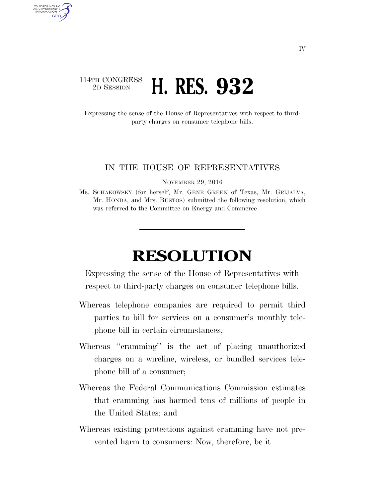## 114TH CONGRESS <sup>2D SESSION</sup> **H. RES. 932**

AUTHENTICATED U.S. GOVERNMENT GPO

> Expressing the sense of the House of Representatives with respect to thirdparty charges on consumer telephone bills.

## IN THE HOUSE OF REPRESENTATIVES

NOVEMBER 29, 2016

Ms. SCHAKOWSKY (for herself, Mr. GENE GREEN of Texas, Mr. GRIJALVA, Mr. HONDA, and Mrs. BUSTOS) submitted the following resolution; which was referred to the Committee on Energy and Commerce

## **RESOLUTION**

Expressing the sense of the House of Representatives with respect to third-party charges on consumer telephone bills.

- Whereas telephone companies are required to permit third parties to bill for services on a consumer's monthly telephone bill in certain circumstances;
- Whereas ''cramming'' is the act of placing unauthorized charges on a wireline, wireless, or bundled services telephone bill of a consumer;
- Whereas the Federal Communications Commission estimates that cramming has harmed tens of millions of people in the United States; and
- Whereas existing protections against cramming have not prevented harm to consumers: Now, therefore, be it